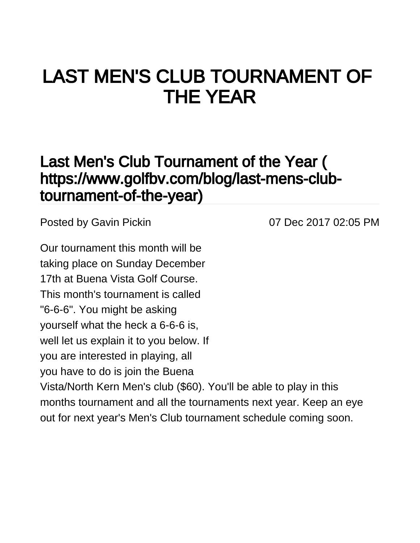## LAST MEN'S CLUB TOURNAMENT OF THE YEAR

## [Last Men's Club Tournament of the Year \(](https://www.golfbv.com/blog/last-mens-club-tournament-of-the-year) [https://www.golfbv.com/blog/last-mens-club](https://www.golfbv.com/blog/last-mens-club-tournament-of-the-year)[tournament-of-the-year\)](https://www.golfbv.com/blog/last-mens-club-tournament-of-the-year)

Posted by [Gavin Pickin](#) 2008 100 07 Dec 2017 02:05 PM

Our tournament this month will be taking place on Sunday December 17th at Buena Vista Golf Course. This month's tournament is called "6-6-6". You might be asking yourself what the heck a 6-6-6 is, well let us explain it to you below. If you are interested in playing, all you have to do is join the Buena Vista/North Kern Men's club (\$60). You'll be able to play in this months tournament and all the tournaments next year. Keep an eye out for next year's Men's Club tournament schedule coming soon.